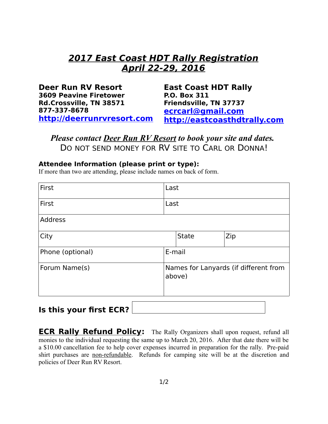# **2017 East Coast HDT Rally Registration April 22-29, 2016**

| Deer Run RV Resort            | <b>East Coast HDT Rally</b>  |
|-------------------------------|------------------------------|
| <b>3609 Peavine Firetower</b> | <b>P.O. Box 311</b>          |
| Rd.Crossville, TN 38571       | Friendsville, TN 37737       |
| 877-337-8678                  | ecrcarl@gmail.com            |
| http://deerrunrvresort.com    | http://eastcoasthdtrally.com |

*Please contact Deer Run RV Resort to book your site and dates.*  DO NOT SEND MONEY FOR RV SITE TO CARL OR DONNA!

#### **Attendee Information (please print or type):**

If more than two are attending, please include names on back of form.

| First            |                                                 | Last         |     |  |
|------------------|-------------------------------------------------|--------------|-----|--|
| First            | Last                                            |              |     |  |
| <b>Address</b>   |                                                 |              |     |  |
| City             |                                                 | <b>State</b> | Zip |  |
| Phone (optional) | E-mail                                          |              |     |  |
| Forum Name(s)    | Names for Lanyards (if different from<br>above) |              |     |  |

## **Is this your first ECR?**

**ECR Rally Refund Policy:** The Rally Organizers shall upon request, refund all monies to the individual requesting the same up to March 20, 2016. After that date there will be a \$10.00 cancellation fee to help cover expenses incurred in preparation for the rally. Pre-paid shirt purchases are non-refundable. Refunds for camping site will be at the discretion and policies of Deer Run RV Resort.

 $\left| \mathbf{v} \right|$